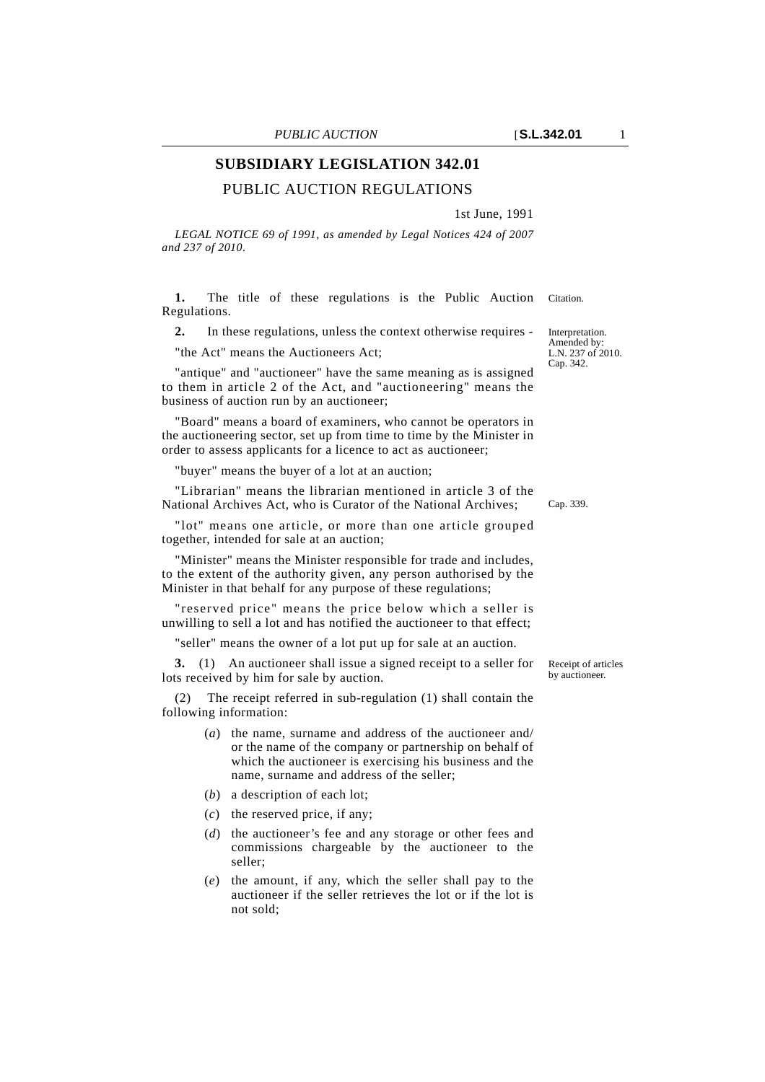## **SUBSIDIARY LEGISLATION 342.01**

## PUBLIC AUCTION REGULATIONS

1st June, 1991

*LEGAL NOTICE 69 of 1991, as amended by Legal Notices 424 of 2007 and 237 of 2010.*

1. The title of these regulations is the Public Auction Citation. Regulations.

**2.** In these regulations, unless the context otherwise requires -

"the Act" means the Auctioneers Act;

"antique" and "auctioneer" have the same meaning as is assigned to them in article 2 of the Act, and "auctioneering" means the business of auction run by an auctioneer;

"Board" means a board of examiners, who cannot be operators in the auctioneering sector, set up from time to time by the Minister in order to assess applicants for a licence to act as auctioneer;

"buyer" means the buyer of a lot at an auction;

"Librarian" means the librarian mentioned in article 3 of the National Archives Act, who is Curator of the National Archives;

"lot" means one article, or more than one article grouped together, intended for sale at an auction;

"Minister" means the Minister responsible for trade and includes, to the extent of the authority given, any person authorised by the Minister in that behalf for any purpose of these regulations;

"reserved price" means the price below which a seller is unwilling to sell a lot and has notified the auctioneer to that effect;

"seller" means the owner of a lot put up for sale at an auction.

**3.** (1) An auctioneer shall issue a signed receipt to a seller for lots received by him for sale by auction.

(2) The receipt referred in sub-regulation (1) shall contain the following information:

- (*a*) the name, surname and address of the auctioneer and/ or the name of the company or partnership on behalf of which the auctioneer is exercising his business and the name, surname and address of the seller;
- (*b*) a description of each lot;
- (*c*) the reserved price, if any;
- (*d*) the auctioneer's fee and any storage or other fees and commissions chargeable by the auctioneer to the seller;
- (*e*) the amount, if any, which the seller shall pay to the auctioneer if the seller retrieves the lot or if the lot is not sold;

Amended by: L.N. 237 of 2010. Cap. 342.

Interpretation.

Cap. 339.

Receipt of articles by auctioneer.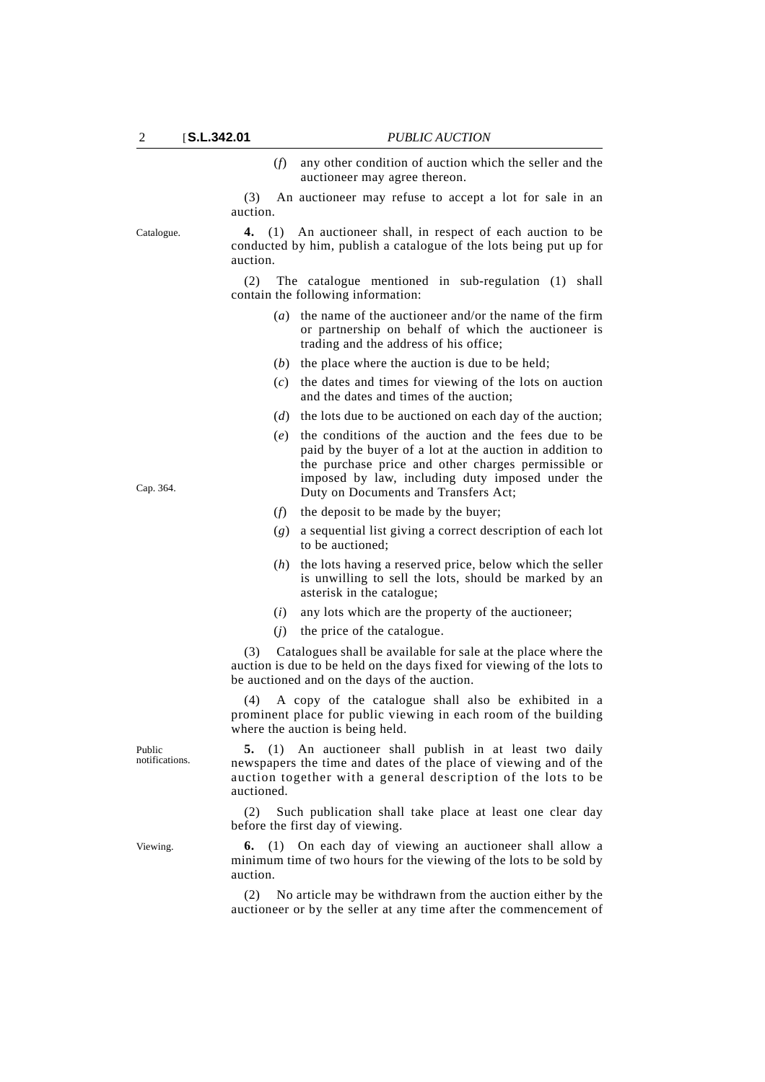(*f*) any other condition of auction which the seller and the auctioneer may agree thereon.

(3) An auctioneer may refuse to accept a lot for sale in an auction.

Catalogue. **4.** (1) An auctioneer shall, in respect of each auction to be conducted by him, publish a catalogue of the lots being put up for auction.

> (2) The catalogue mentioned in sub-regulation (1) shall contain the following information:

- (*a*) the name of the auctioneer and/or the name of the firm or partnership on behalf of which the auctioneer is trading and the address of his office;
- (*b*) the place where the auction is due to be held;
- (*c*) the dates and times for viewing of the lots on auction and the dates and times of the auction;
- (*d*) the lots due to be auctioned on each day of the auction;
- (*e*) the conditions of the auction and the fees due to be paid by the buyer of a lot at the auction in addition to the purchase price and other charges permissible or imposed by law, including duty imposed under the Duty on Documents and Transfers Act;
- (*f*) the deposit to be made by the buyer;
- (*g*) a sequential list giving a correct description of each lot to be auctioned;
- (*h*) the lots having a reserved price, below which the seller is unwilling to sell the lots, should be marked by an asterisk in the catalogue;
- (*i*) any lots which are the property of the auctioneer;
- (*j*) the price of the catalogue.

(3) Catalogues shall be available for sale at the place where the auction is due to be held on the days fixed for viewing of the lots to be auctioned and on the days of the auction.

(4) A copy of the catalogue shall also be exhibited in a prominent place for public viewing in each room of the building where the auction is being held.

**5.** (1) An auctioneer shall publish in at least two daily newspapers the time and dates of the place of viewing and of the auction together with a general description of the lots to be auctioned.

(2) Such publication shall take place at least one clear day before the first day of viewing.

Viewing. **6.** (1) On each day of viewing an auctioneer shall allow a minimum time of two hours for the viewing of the lots to be sold by auction.

> (2) No article may be withdrawn from the auction either by the auctioneer or by the seller at any time after the commencement of

Cap. 364.

Public notifications.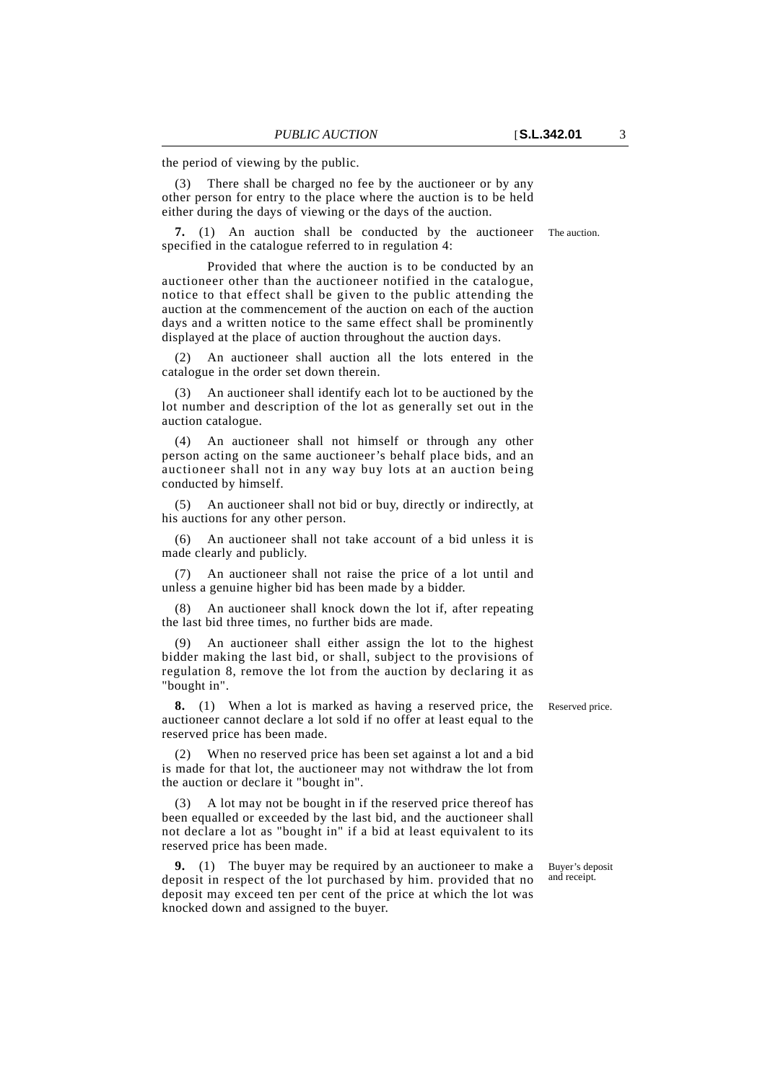the period of viewing by the public.

There shall be charged no fee by the auctioneer or by any other person for entry to the place where the auction is to be held either during the days of viewing or the days of the auction.

**7.** (1) An auction shall be conducted by the auctioneer The auction. specified in the catalogue referred to in regulation 4:

Provided that where the auction is to be conducted by an auctioneer other than the auctioneer notified in the catalogue, notice to that effect shall be given to the public attending the auction at the commencement of the auction on each of the auction days and a written notice to the same effect shall be prominently displayed at the place of auction throughout the auction days.

(2) An auctioneer shall auction all the lots entered in the catalogue in the order set down therein.

(3) An auctioneer shall identify each lot to be auctioned by the lot number and description of the lot as generally set out in the auction catalogue.

(4) An auctioneer shall not himself or through any other person acting on the same auctioneer's behalf place bids, and an auctioneer shall not in any way buy lots at an auction being conducted by himself.

(5) An auctioneer shall not bid or buy, directly or indirectly, at his auctions for any other person.

An auctioneer shall not take account of a bid unless it is made clearly and publicly.

(7) An auctioneer shall not raise the price of a lot until and unless a genuine higher bid has been made by a bidder.

(8) An auctioneer shall knock down the lot if, after repeating the last bid three times, no further bids are made.

(9) An auctioneer shall either assign the lot to the highest bidder making the last bid, or shall, subject to the provisions of regulation 8, remove the lot from the auction by declaring it as "bought in".

**8.** (1) When a lot is marked as having a reserved price, the Reserved price. auctioneer cannot declare a lot sold if no offer at least equal to the reserved price has been made.

When no reserved price has been set against a lot and a bid is made for that lot, the auctioneer may not withdraw the lot from the auction or declare it "bought in".

A lot may not be bought in if the reserved price thereof has been equalled or exceeded by the last bid, and the auctioneer shall not declare a lot as "bought in" if a bid at least equivalent to its reserved price has been made.

**9.** (1) The buyer may be required by an auctioneer to make a deposit in respect of the lot purchased by him. provided that no deposit may exceed ten per cent of the price at which the lot was knocked down and assigned to the buyer.

Buyer's deposit and receipt.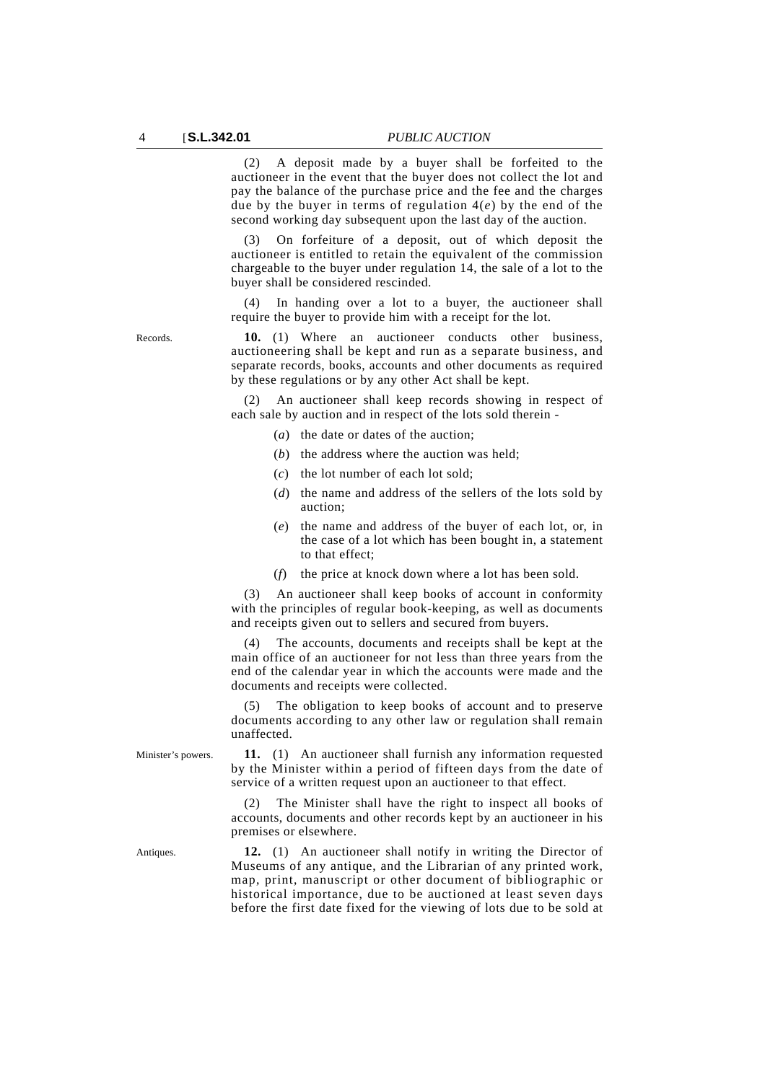(2) A deposit made by a buyer shall be forfeited to the auctioneer in the event that the buyer does not collect the lot and pay the balance of the purchase price and the fee and the charges due by the buyer in terms of regulation 4(*e*) by the end of the second working day subsequent upon the last day of the auction.

(3) On forfeiture of a deposit, out of which deposit the auctioneer is entitled to retain the equivalent of the commission chargeable to the buyer under regulation 14, the sale of a lot to the buyer shall be considered rescinded.

(4) In handing over a lot to a buyer, the auctioneer shall require the buyer to provide him with a receipt for the lot.

Records. **10.** (1) Where an auctioneer conducts other business, auctioneering shall be kept and run as a separate business, and separate records, books, accounts and other documents as required by these regulations or by any other Act shall be kept.

> (2) An auctioneer shall keep records showing in respect of each sale by auction and in respect of the lots sold therein -

- (*a*) the date or dates of the auction;
- (*b*) the address where the auction was held;
- (*c*) the lot number of each lot sold;
- (*d*) the name and address of the sellers of the lots sold by auction;
- (*e*) the name and address of the buyer of each lot, or, in the case of a lot which has been bought in, a statement to that effect;
- (*f*) the price at knock down where a lot has been sold.

(3) An auctioneer shall keep books of account in conformity with the principles of regular book-keeping, as well as documents and receipts given out to sellers and secured from buyers.

(4) The accounts, documents and receipts shall be kept at the main office of an auctioneer for not less than three years from the end of the calendar year in which the accounts were made and the documents and receipts were collected.

The obligation to keep books of account and to preserve documents according to any other law or regulation shall remain unaffected.

Minister's powers. **11.** (1) An auctioneer shall furnish any information requested by the Minister within a period of fifteen days from the date of service of a written request upon an auctioneer to that effect.

> The Minister shall have the right to inspect all books of accounts, documents and other records kept by an auctioneer in his premises or elsewhere.

Antiques. **12.** (1) An auctioneer shall notify in writing the Director of Museums of any antique, and the Librarian of any printed work, map, print, manuscript or other document of bibliographic or historical importance, due to be auctioned at least seven days before the first date fixed for the viewing of lots due to be sold at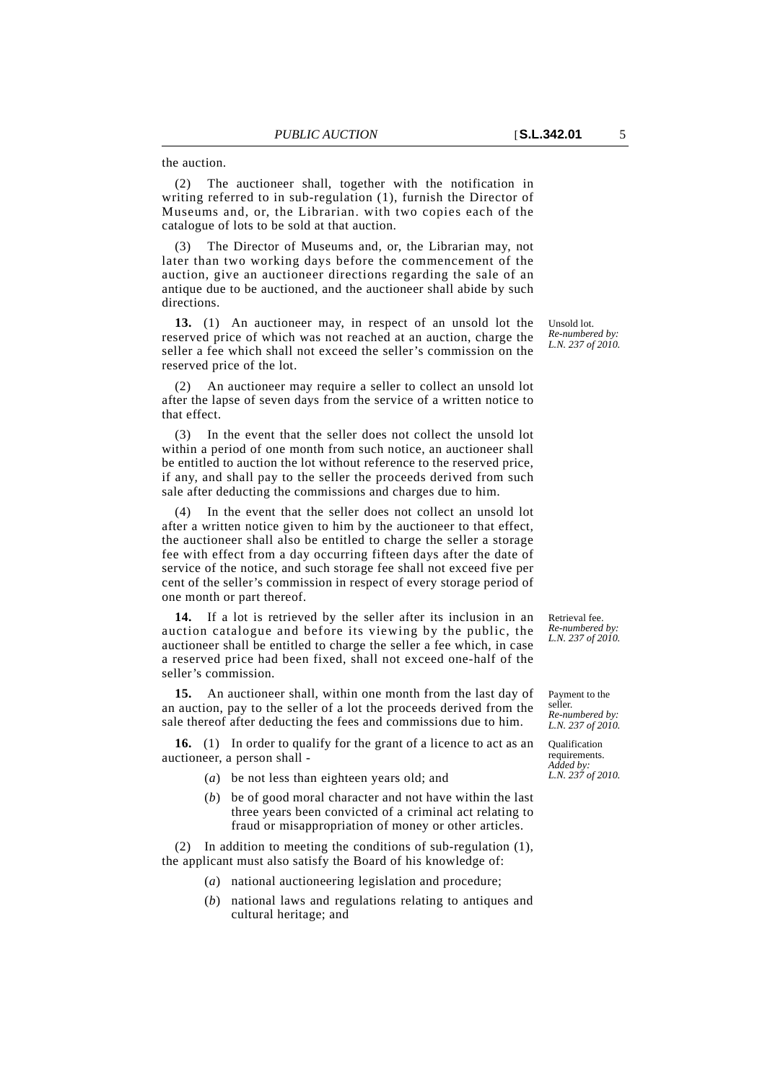(2) The auctioneer shall, together with the notification in writing referred to in sub-regulation (1), furnish the Director of Museums and, or, the Librarian. with two copies each of the catalogue of lots to be sold at that auction.

(3) The Director of Museums and, or, the Librarian may, not later than two working days before the commencement of the auction, give an auctioneer directions regarding the sale of an antique due to be auctioned, and the auctioneer shall abide by such directions.

**13.** (1) An auctioneer may, in respect of an unsold lot the reserved price of which was not reached at an auction, charge the seller a fee which shall not exceed the seller's commission on the reserved price of the lot.

An auctioneer may require a seller to collect an unsold lot after the lapse of seven days from the service of a written notice to that effect.

(3) In the event that the seller does not collect the unsold lot within a period of one month from such notice, an auctioneer shall be entitled to auction the lot without reference to the reserved price, if any, and shall pay to the seller the proceeds derived from such sale after deducting the commissions and charges due to him.

(4) In the event that the seller does not collect an unsold lot after a written notice given to him by the auctioneer to that effect, the auctioneer shall also be entitled to charge the seller a storage fee with effect from a day occurring fifteen days after the date of service of the notice, and such storage fee shall not exceed five per cent of the seller's commission in respect of every storage period of one month or part thereof.

**14.** If a lot is retrieved by the seller after its inclusion in an auction catalogue and before its viewing by the public, the auctioneer shall be entitled to charge the seller a fee which, in case a reserved price had been fixed, shall not exceed one-half of the seller's commission.

**15.** An auctioneer shall, within one month from the last day of an auction, pay to the seller of a lot the proceeds derived from the sale thereof after deducting the fees and commissions due to him.

**16.** (1) In order to qualify for the grant of a licence to act as an auctioneer, a person shall -

- (*a*) be not less than eighteen years old; and
- (*b*) be of good moral character and not have within the last three years been convicted of a criminal act relating to fraud or misappropriation of money or other articles.

(2) In addition to meeting the conditions of sub-regulation (1), the applicant must also satisfy the Board of his knowledge of:

- (*a*) national auctioneering legislation and procedure;
- (*b*) national laws and regulations relating to antiques and cultural heritage; and

Unsold lot. *Re-numbered by: L.N. 237 of 2010.*

Retrieval fee. *Re-numbered by: L.N. 237 of 2010.*

Payment to the seller. *Re-numbered by: L.N. 237 of 2010.*

Qualification requirements. *Added by: L.N. 237 of 2010.*